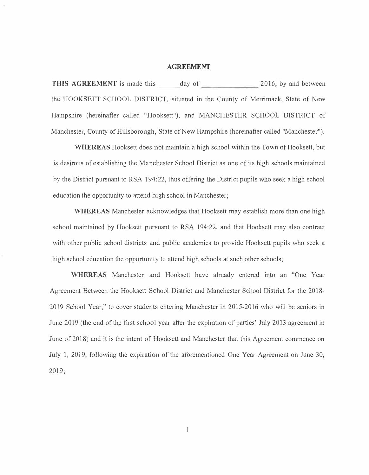## **AGREEMENT**

**THIS AGREEMENT** is made this day of 2016, by and between the HOOKSETT SCHOOL DISTRICT, situated in the County of Merrimack, State of New Hampshire (hereinafter called "Hooksett"), and MANCHESTER SCHOOL DISTRJCT of Manchester, County of Hillsborough, State of New Hampshire (hereinafter called "Manchester").

**·wHEREAS** Hooksett does not maintain a high school within the Town of Hooksett, but is desirous of establishing the Manchester School District as one of its high schools maintained by the District pursuant to RSA 194:22, thus offering the District pupils who seek a high school education the opportunity to attend high school in Manchester;

**WHEREAS** Manchester acknowledges that Hooksett may establish more than one high school maintained by Hooksett pursuant to RSA 194:22, and that Hooksett may also contract with other public school districts and public academies to provide Hooksett pupils who seek a high school education the opportunity to attend high schools at such other schools;

**WHEREAS** Manchester and Hooksett have already entered into an "One Year Agreement Between the Hooksett School District and Manchester School District for the 2018- 2019 School Year," to cover students entering Manchester in 2015-2016 who will be seniors in June 2019 (the end of the first school year after the expiration of parties' July 2013 agreement in June of 2018) and it is the intent of Hooksett and Manchester that this Agreement commence on July 1, 2019, following the expiration of the aforementioned One Year Agreement on June 30, 2019;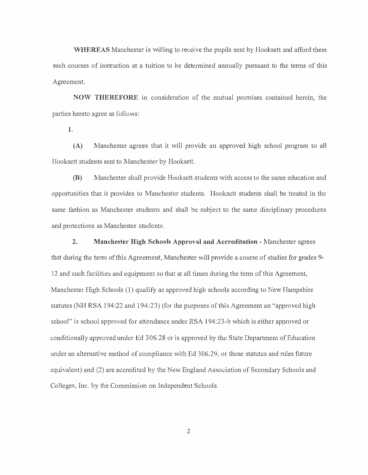**WHEREAS** Manchester is willing to receive the pupils sent by Hooksett and afford them such courses of instruction at a tuition to be determined annually pursuant to the terms of this Agreement.

**NOW THEREFORE** in consideration of the mutual promises contained herein, the parties hereto agree as follows:

**1.** 

**(A)** Manchester agrees that it will provide an approved high school program to all Hooksett students sent to Manchester by Hooksett.

**(B)** Manchester shall provide Hooksett students with access to the same education and opportunities that it provides to Manchester students. Hooksett students shall be treated in the same fashion as Manchester students and shall be subject to the same disciplinary procedures and protections as Manchester students.

**2. Manchester High Schools Approval and Accreditation** - Manchester agrees that during the term of this Agreement, Manchester will provide a course of studies for grades 9-12 and such facilities and equipment so that at all times during the term of this Agreement, Manchester High Schools  $(1)$  qualify as approved high schools according to New Hampshire statutes (NH RSA 194:22 and 194:23) (for the purposes of this Agreement an "approved high school" is school approved for attendance under RSA 194:23-b which is either approved or conditionally approved under Ed 3 06.28 or is approved by the State Department of Education under an alternative method of compliance with Ed 306.29, or those statutes and rules future equivalent) and (2) are accredited by the New England Association of Secondary Schools and Colleges, Inc. by the Commission on Independent Schools.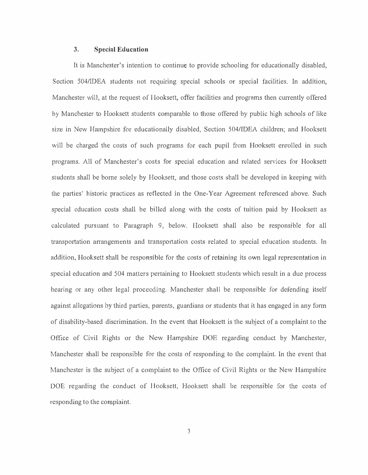## **3. Special Education**

It is Manchester's intention to continue to provide schooling for educationally disabled, Section 504/IDEA students not requiring special schools or special facilities. In addition, Manchester will, at the request of Hooksett, offer facilities and programs then currently offered by Manchester to Hooksett students comparable to those offered by public high schools of like size in New Hampshire for educationally disabled, Section 504/IDEA children; and Hooksett will be charged the costs of such programs for each pupil from Hooksett enrolled in such programs. All of Manchester's costs for special education and related services for Hooksett students shall be borne solely by Hooksett, and those costs shall be developed in keeping with the parties' historic practices as reflected in the One-Year Agreement referenced above. Such special education costs shall be billed along with the costs of tuition paid by Hooksett as calculated pursuant to Paragraph 9, below. Hooksett shall also be responsible for all transportation arrangements and transportation costs related to special education students. In addition, Hooksett shall be responsible for the costs of retaining its own legal representation in special education and 504 matters pertaining to Hooksett students which result in a due process hearing or any other legal proceeding. Manchester shall be responsible for defending itself against allegations by third parties, parents, guardians or students that it has engaged in any form of disability-based discrimination. In the event that Hooksett is 1he subject of a complaint to the Office of Civil Rights or the New Hampshire DOE regarding conduct by Manchester, Manchester shall be responsible for the costs of responding to the complaint. In the event that Manchester is the subject of a complaint to the Office of Civil Rights or the New Hampshire DOE regarding the conduct of Hooksett, Hooksett shall be responsible for the costs of responding to the complaint.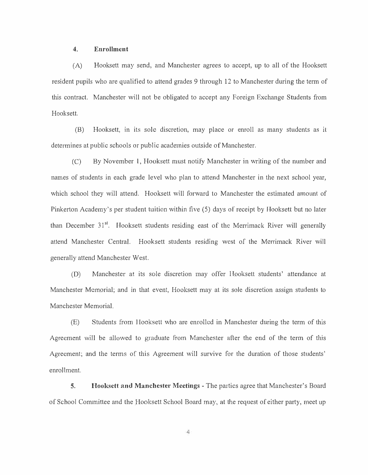## **4. Enrollment**

(A) Hooksett may send, and Manchester agrees to accept, up to all of the Hooksett resident pupils who are qualified to attend grades 9 through 12 to Manchester during the term of this contract. Manchester will not be obligated to accept any Foreign Exchange Students from Hooksett.

(B) Hooksett, in its sole discretion, may place or enroll as many students as il determines at public schools or public academies outside of Manchester.

(C) By November 1, Hooksett must notily Manchester in writing of the number and names of students in each grade level who plan to attend Manchester in the next school year, which school they will attend. Hooksett will forward to Manchester the estimated amount of Pinkerton Academy's per student tuition within five (5) days of receipt by Hooksett but no later than December 31<sup>st</sup>. Hooksett students residing east of the Merrimack River will generally attend Manchester Central. Hooksett students residing west of the Merrimack River will generally attend Manchester West.

(D) Manchester at its sole discretion may offer Hooksett students' attendance at Manchester Memorial; and in that event, Hooksett may at its sole discretion assign students to Manchester Memorial.

(E) Students from Hooksett who are enrolled in Manchester during the term of this Agreement will be allowed to graduate from Manchester after the end of the term of this Agreement; and the terms of this Agreement will survive for the duration of those students' enrollment.

**5. Hooksett and Manchester Meetings** - The parties agree that Manchester's Board of School Committee and the Hooksett School Board may, at the request of either party, meet up

 $\overline{4}$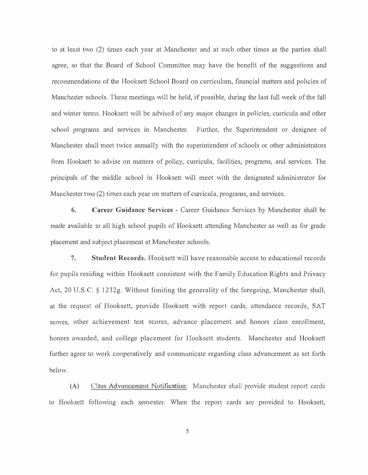to at least two (2) times each year at Manchester and at such other times as the parties shall agree, so that the Board of School Committee may have the benefit of the suggestions and recommendations of the Hooksett School Board on curriculum, financial matters and policies of Manchester schools. These meetings will be held, if possible, during the last full week of the fall and winter terms. Hooksett will be advised of any major changes in policies, curricula and other school programs and services in Manchester. Further, the Superintendent or designee of Manchester shall meet twice annually with the superintendent of schools or other administrators from Hooksett to advise on matters of policy, curricula, facilities, programs, and services. The principals of the middle school in Hooksett will meet with the designated administrator for Manchester two (2) times each year on matters of curricula, programs, and services.

**6. Career Guidance Services** - Career Guidance Services by Manchester shall be made available to all high school pupils of Hooksett attending Manchester as well as for grade placement and subject placement at Manchester schools.

7. **Student Records.** Hooksett will have reasonable access to educational records for pupils residing within Hooksett consistent with the Family Education Rights and Privacy Act, 20 U.S.C. § 1232g. Without limiting the generality of the foregoing, Manchester shall, at the request of Hooksett, provide Hooksett with report cards, attendance records, SAT scores, other achievement test scores, advance placement and honors class enrollment, honors awarded, and college placement for lfooksett students. Manchester and Hooksett further agree to work cooperatively and communicate regarding class advancement as set forth below.

(A) Class Advancement Notification: Manchester shall provide student report cards to Hooksett following each semester. When the report cards are provided to Hooksett,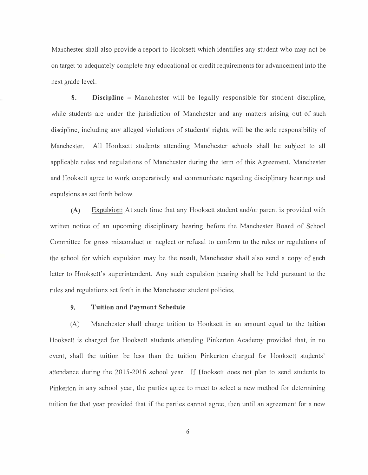Manchester shall also provide a report to Hooksett which identifies any student who may not be on target to adequately complete any educational or credit requirements for advancement into the next grade level.

**8. Discipline** - Manchester will be legally responsible for student discipline, while students are under the jurisdiction of Manchester and any matters arising out of such discipline, including any alleged violations of students' rights, will be the sole responsibility of Manchester. All Hooksett students attending Manchester schools shall be subject to all applicable rules and regulations of Manchester during the term of this Agreement. Manchester and Hooksett agree to work cooperatively and communicate regarding disciplinary hearings and expulsions as set forth below.

**(A)** Expulsion: At such time that any Hooksett student and/or parent is provided with written notice of an upcoming disciplinary hearing before the Manchester Board of School Committee for gross misconduct or neglect or refusal to conform to the rules or regulations of the school for which expulsion may be the result, Manchester shall also send a copy of such letter to Hooksctt's superintendent. Any such expulsion hearing shall be held pursuant to the rules and regulations set forth in the Manchester student policies.

## **9. Tuition and Payment Schedule**

(A) Manchester shall charge tuition to Hooksett in an amount equal to the tuition Hooksett is charged for Hooksett students attending Pinkerton Academy provided that, in no event, shall the tuition be less than the tuition Pinkerton charged for IIooksett students' attendance during the 2015-2016 school year. If Hooksett does not plan to send students to Pinkerton in any school year, the parties agree to meet to select a new method for determining tuition for that year provided that if the parties cannot agree, then until an agreement for a new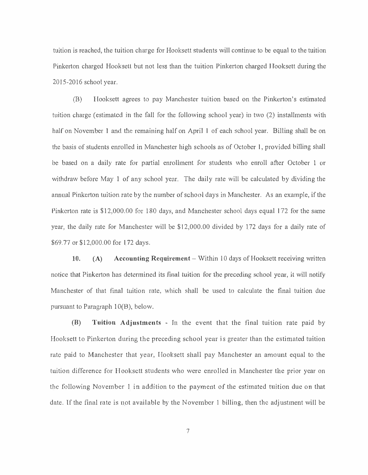tuition is reached, the tuition cha<sup>r</sup> ge for Hooksett students will continue to be equal to the tuition Pinkerton charged Hooksett but not less than the tuition Pinkerton charged Hooksett during the 2015-2016 school year.

(B) Hooksett agrees to pay Manchester tuition based on the Pinkerton's estimated tuition charge ( estimated in the fall for the following school year) in two (2) installments with half on November 1 and the remaining half on April 1 of each school year. Billing shall be on the basis of students enrolled in Manchester high schools as of October 1, provided billing shall be based on a daily rate for partial enrollment for students who enroll after October l or withdraw before May 1 of any school year. The daily rate will be calculated by dividing the annual Pinkerton tuition rate by the number of school days in Manchester. As an example, if the Pinkerton rate is \$12,000.00 for 180 days, and Manchester school days equal 172 for the same year, the daily rate for Manchester will be \$12,000.00 divided by 172 days for a daily rate of \$69.77 or \$12,000.00 for 172 days.

10. (A) Accounting Requirement – Within 10 days of Hooksett receiving written notice that Pinkerton has determined its final tuition for the preceding school year, it will notify Manchester of that final tuition rate, which shall be used to calculate the final tuition due pursuant to Paragraph  $10(B)$ , below.

**(B) Tuition Adjustments** - In the event that the final tuition rate paid by Hooksett to Pinkerton during the preceding school year is greater than the estimated tuition rate paid to Manchester that year, Hooksett shall pay Manchester an amount equal to the tuition difference for Hooksett students who were enrolled in Manchester the prior year on the following November l in addition to the payment of the estimated tuition due on that date. If the final rate is not available by the November 1 billing, then the adjustment will be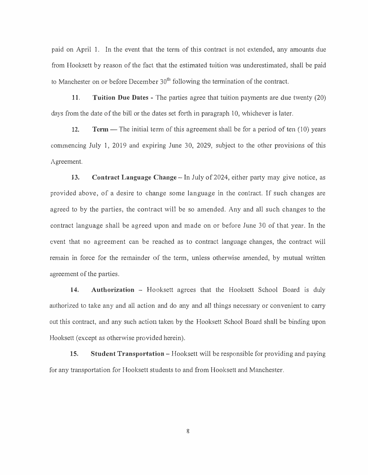paid on April 1. In the event that the term of this contract is not extended, any amounts due from Hooksett by reason of the fact that the estimated tuition was underestimated, shall be paid to Manchester on or before December  $30<sup>th</sup>$  following the termination of the contract.

**11. Tuition Due Dates** - The parties agree that tuition payments are due twenty (20) days from the date of the bill or the dates set forth in paragraph 10, whichever is later.

**12. Term** — The initial term of this agreement shall be for a period of ten (10) years commencing July 1, 2019 and expiring June 30, 2029, subject to the other provisions of this Agreement.

**13. Contract Language Change** - In July of 2024, either party may give notice, as provided above, of a desire to change some language in the contract. If such changes are agreed to by the parties, the contract will be so amended. Any and all such changes to the contract language shall be agreed upon and made on or before June 30 of that year. In the event that no agreement can be reached as to contract language changes, the contract will remain in force for the remainder of the term, unless otherwise amended, by mutual written agreement of the parties.

14. **Authorization** - Hooksett agrees that the Hooksett School Board is duly authorized to take any and all action and do any and all things necessary or convenient to carry out this contract, and any such action taken by the Hooksett School Board shall be binding upon Hooksett (except as otherwise provided herein).

**15. Student Transportation** - Hooksett will be responsible for providing and paying for any transportation for Hooksett students to and from Hooksett and Manchester.